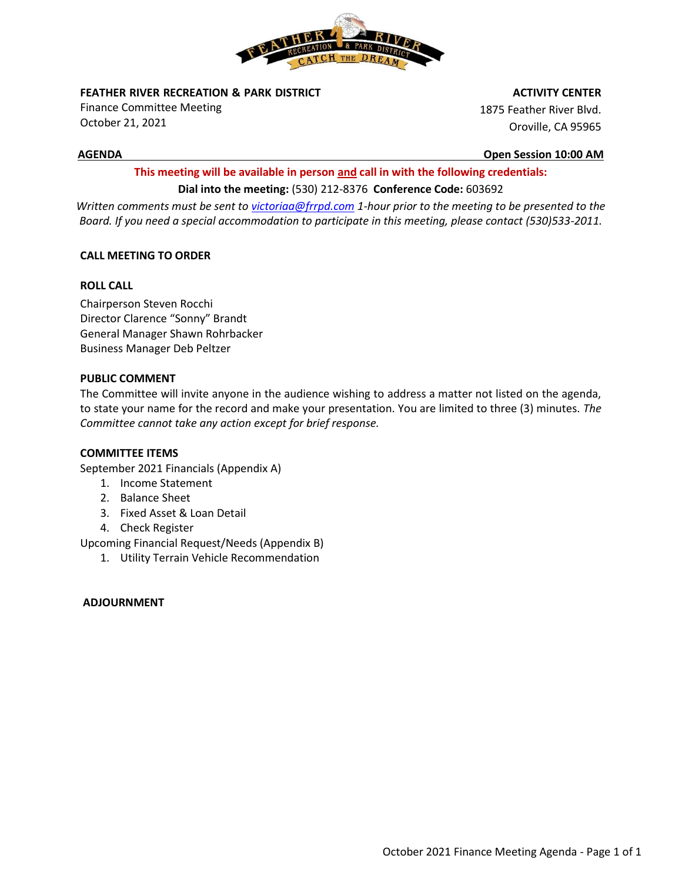

**FEATHER RIVER RECREATION & PARK DISTRICT** 

Finance Committee Meeting October 21, 2021

 **ACTIVITY CENTER**

1875 Feather River Blvd. Oroville, CA 95965

**AGENDA Open Session 10:00 AM**

# **This meeting will be available in person and call in with the following credentials: Dial into the meeting:** (530) 212-8376 **Conference Code:** 603692

*Written comments must be sent t[o victoriaa@frrpd.com](mailto:victoriaa@frrpd.com) 1-hour prior to the meeting to be presented to the Board. If you need a special accommodation to participate in this meeting, please contact (530)533-2011.*

## **CALL MEETING TO ORDER**

## **ROLL CALL**

Chairperson Steven Rocchi Director Clarence "Sonny" Brandt General Manager Shawn Rohrbacker Business Manager Deb Peltzer

## **PUBLIC COMMENT**

The Committee will invite anyone in the audience wishing to address a matter not listed on the agenda, to state your name for the record and make your presentation. You are limited to three (3) minutes*. The Committee cannot take any action except for brief response.*

## **COMMITTEE ITEMS**

September 2021 Financials (Appendix A)

- 1. Income Statement
- 2. Balance Sheet
- 3. Fixed Asset & Loan Detail
- 4. Check Register

Upcoming Financial Request/Needs (Appendix B)

1. Utility Terrain Vehicle Recommendation

## **ADJOURNMENT**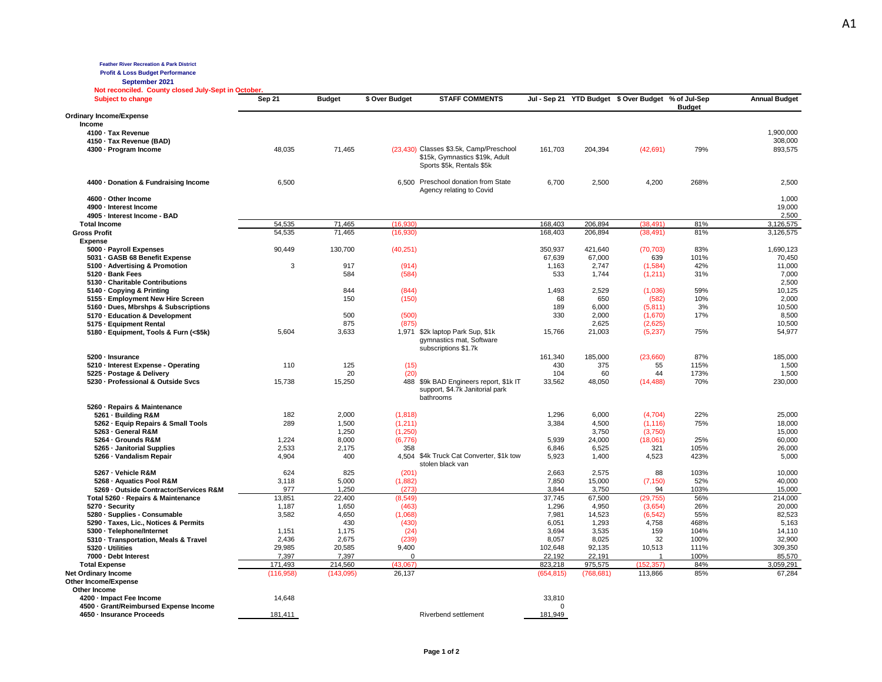**Feather River Recreation & Park District**

**Profit & Loss Budget Performance**

**September 2021 Not reconciled. County closed July-Sept in October.** 

| not reconcilea. Coanty closed oaly-oept in<br><b>Subject to change</b>        | Sep 21          | <b>Budget</b>   | \$ Over Budget    | <b>STAFF COMMENTS</b>                                                                                  |                       |                  | Jul - Sep 21 YTD Budget \$ Over Budget % of Jul-Sep | <b>Budget</b> | <b>Annual Budget</b>     |
|-------------------------------------------------------------------------------|-----------------|-----------------|-------------------|--------------------------------------------------------------------------------------------------------|-----------------------|------------------|-----------------------------------------------------|---------------|--------------------------|
| <b>Ordinary Income/Expense</b>                                                |                 |                 |                   |                                                                                                        |                       |                  |                                                     |               |                          |
| Income                                                                        |                 |                 |                   |                                                                                                        |                       |                  |                                                     |               |                          |
| 4100 · Tax Revenue                                                            |                 |                 |                   |                                                                                                        |                       |                  |                                                     |               | 1,900,000                |
| 4150 · Tax Revenue (BAD)                                                      |                 |                 |                   |                                                                                                        |                       |                  |                                                     |               | 308,000                  |
| 4300 · Program Income                                                         | 48,035          | 71,465          |                   | (23,430) Classes \$3.5k, Camp/Preschool<br>\$15k, Gymnastics \$19k, Adult<br>Sports \$5k, Rentals \$5k | 161,703               | 204,394          | (42, 691)                                           | 79%           | 893,575                  |
| 4400 · Donation & Fundraising Income                                          | 6,500           |                 |                   | 6,500 Preschool donation from State<br>Agency relating to Covid                                        | 6,700                 | 2,500            | 4,200                                               | 268%          | 2,500                    |
| 4600 · Other Income<br>4900 - Interest Income<br>4905 - Interest Income - BAD |                 |                 |                   |                                                                                                        |                       |                  |                                                     |               | 1,000<br>19,000<br>2,500 |
| <b>Total Income</b>                                                           | 54,535          | 71,465          | (16.930)          |                                                                                                        | 168,403               | 206,894          | (38.491)                                            | 81%           | 3,126,575                |
| <b>Gross Profit</b>                                                           | 54,535          | 71,465          | (16,930)          |                                                                                                        | 168,403               | 206,894          | (38, 491)                                           | 81%           | 3,126,575                |
| <b>Expense</b>                                                                |                 |                 |                   |                                                                                                        |                       |                  |                                                     |               |                          |
| 5000 - Payroll Expenses                                                       | 90,449          | 130,700         | (40, 251)         |                                                                                                        | 350,937               | 421,640          | (70, 703)                                           | 83%           | 1,690,123                |
| 5031 · GASB 68 Benefit Expense                                                |                 |                 |                   |                                                                                                        | 67,639                | 67,000           | 639                                                 | 101%          | 70,450                   |
| 5100 · Advertising & Promotion                                                | 3               | 917             | (914)             |                                                                                                        | 1,163                 | 2,747            | (1,584)                                             | 42%           | 11,000                   |
| 5120 · Bank Fees                                                              |                 | 584             | (584)             |                                                                                                        | 533                   | 1,744            | (1,211)                                             | 31%           | 7,000                    |
| 5130 - Charitable Contributions                                               |                 |                 |                   |                                                                                                        |                       |                  |                                                     |               | 2,500                    |
| 5140 Copying & Printing                                                       |                 | 844             | (844)             |                                                                                                        | 1,493                 | 2,529            | (1,036)                                             | 59%           | 10,125                   |
| 5155 - Employment New Hire Screen                                             |                 | 150             | (150)             |                                                                                                        | 68                    | 650              | (582)                                               | 10%           | 2,000                    |
| 5160 · Dues, Mbrshps & Subscriptions                                          |                 |                 |                   |                                                                                                        | 189                   | 6,000            | (5,811)                                             | 3%            | 10,500                   |
| 5170 - Education & Development                                                |                 | 500             | (500)             |                                                                                                        | 330                   | 2,000            | (1,670)                                             | 17%           | 8,500                    |
| 5175 - Equipment Rental                                                       |                 | 875             | (875)             |                                                                                                        |                       | 2,625            | (2,625)                                             |               | 10,500                   |
| 5180 · Equipment, Tools & Furn (<\$5k)                                        | 5,604           | 3,633           |                   | 1,971 \$2k laptop Park Sup, \$1k<br>gymnastics mat, Software<br>subscriptions \$1.7k                   | 15,766                | 21,003           | (5,237)                                             | 75%           | 54,977                   |
| 5200 · Insurance                                                              |                 |                 |                   |                                                                                                        | 161,340               | 185,000          | (23,660)                                            | 87%           | 185,000                  |
| 5210 - Interest Expense - Operating                                           | 110             | 125             | (15)              |                                                                                                        | 430                   | 375              | 55                                                  | 115%          | 1,500                    |
| 5225 · Postage & Delivery                                                     |                 | 20              | (20)              |                                                                                                        | 104                   | 60               | 44                                                  | 173%          | 1,500                    |
| 5230 - Professional & Outside Svcs                                            | 15,738          | 15,250          |                   | 488 \$9k BAD Engineers report, \$1k IT<br>support, \$4.7k Janitorial park<br>bathrooms                 | 33,562                | 48,050           | (14, 488)                                           | 70%           | 230,000                  |
| 5260 - Repairs & Maintenance                                                  |                 |                 |                   |                                                                                                        |                       |                  |                                                     |               |                          |
| 5261 - Building R&M                                                           | 182             | 2,000           | (1,818)           |                                                                                                        | 1,296                 | 6,000            | (4,704)                                             | 22%           | 25,000                   |
| 5262 · Equip Repairs & Small Tools                                            | 289             | 1,500           | (1, 211)          |                                                                                                        | 3,384                 | 4,500            | (1, 116)                                            | 75%           | 18,000                   |
| 5263 - General R&M                                                            |                 | 1,250           | (1,250)           |                                                                                                        |                       | 3,750            | (3,750)                                             |               | 15,000                   |
| 5264 - Grounds R&M                                                            | 1,224           | 8,000           | (6,776)           |                                                                                                        | 5,939                 | 24,000           | (18,061)                                            | 25%           | 60,000                   |
| 5265 - Janitorial Supplies                                                    | 2,533           | 2,175           | 358               |                                                                                                        | 6,846                 | 6,525            | 321                                                 | 105%          | 26,000                   |
| 5266 - Vandalism Repair                                                       | 4,904           | 400             |                   | 4,504 \$4k Truck Cat Converter, \$1k tow<br>stolen black van                                           | 5,923                 | 1,400            | 4,523                                               | 423%          | 5,000                    |
| 5267 - Vehicle R&M                                                            | 624             | 825             | (201)             |                                                                                                        | 2,663                 | 2,575            | 88                                                  | 103%          | 10,000                   |
| 5268 - Aquatics Pool R&M                                                      | 3,118           | 5,000           | (1,882)           |                                                                                                        | 7,850                 | 15,000           | (7, 150)                                            | 52%           | 40,000                   |
| 5269 - Outside Contractor/Services R&M                                        | 977             | 1,250           | (273)             |                                                                                                        | 3,844                 | 3,750            | 94                                                  | 103%          | 15,000                   |
| Total 5260 · Repairs & Maintenance                                            | 13,851          | 22,400          | (8, 549)          |                                                                                                        | 37,745                | 67,500           | (29, 755)                                           | 56%           | 214,000                  |
| 5270 - Security                                                               | 1,187           | 1,650           | (463)             |                                                                                                        | 1,296                 | 4,950            | (3,654)                                             | 26%           | 20,000                   |
| 5280 · Supplies - Consumable                                                  | 3,582           | 4,650           | (1,068)           |                                                                                                        | 7,981                 | 14,523           | (6, 542)                                            | 55%           | 82,523                   |
| 5290 · Taxes, Lic., Notices & Permits                                         |                 | 430             | (430)             |                                                                                                        | 6,051                 | 1,293<br>3,535   | 4,758<br>159                                        | 468%<br>104%  | 5,163                    |
| 5300 · Telephone/Internet                                                     | 1,151           | 1,175           | (24)              |                                                                                                        | 3,694                 |                  |                                                     |               | 14,110                   |
| 5310 - Transportation, Meals & Travel<br>5320 - Utilities                     | 2,436           | 2,675           | (239)             |                                                                                                        | 8,057                 | 8,025            | 32                                                  | 100%          | 32,900                   |
| 7000 · Debt Interest                                                          | 29,985<br>7,397 | 20,585<br>7,397 | 9,400<br>$\Omega$ |                                                                                                        | 102,648<br>22.192     | 92,135<br>22,191 | 10,513<br>$\overline{1}$                            | 111%<br>100%  | 309,350<br>85,570        |
|                                                                               | 171,493         | 214,560         | (43,067)          |                                                                                                        | 823,218               | 975,575          | (152, 357)                                          | 84%           | 3,059,291                |
| <b>Total Expense</b>                                                          |                 |                 | 26,137            |                                                                                                        |                       |                  |                                                     | 85%           | 67,284                   |
| Net Ordinary Income<br>Other Income/Expense                                   | (116, 958)      | (143,095)       |                   |                                                                                                        | (654, 815)            | (768, 681)       | 113,866                                             |               |                          |
| Other Income                                                                  |                 |                 |                   |                                                                                                        |                       |                  |                                                     |               |                          |
| 4200 · Impact Fee Income<br>4500 - Grant/Reimbursed Expense Income            | 14,648          |                 |                   |                                                                                                        | 33,810<br>$\mathbf 0$ |                  |                                                     |               |                          |
| 4650 - Insurance Proceeds                                                     | 181,411         |                 |                   | Riverbend settlement                                                                                   | 181,949               |                  |                                                     |               |                          |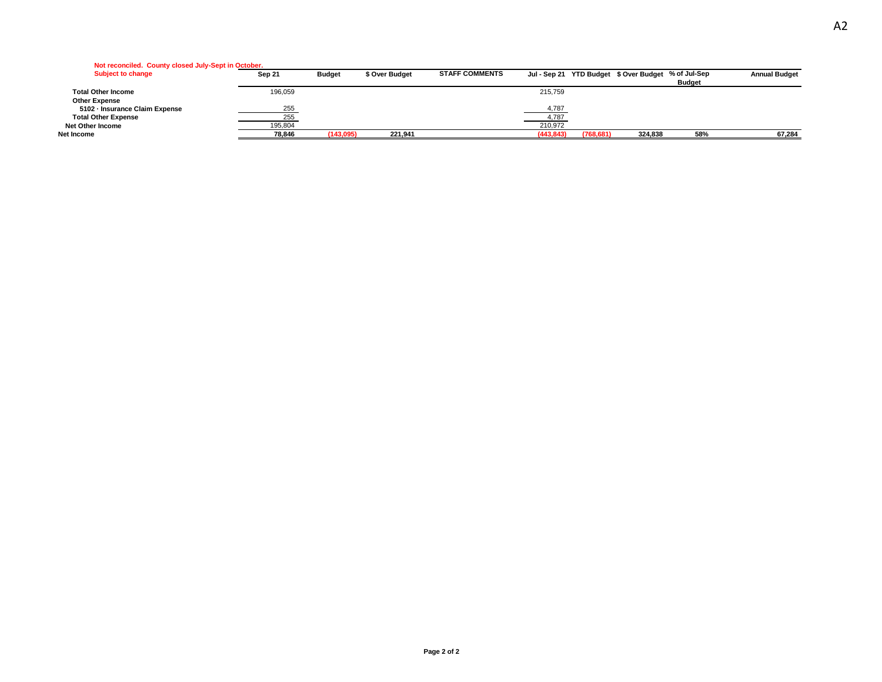| Not reconciled. County closed July-Sept in October. |  |  |
|-----------------------------------------------------|--|--|
|                                                     |  |  |

| <b>Subject to change</b>       | Sep 21  | <b>Budget</b> | \$ Over Budget | <b>STAFF COMMENTS</b> |            | Jul - Sep 21 YTD Budget \$ Over Budget % of Jul-Sep |               | <b>Annual Budget</b> |
|--------------------------------|---------|---------------|----------------|-----------------------|------------|-----------------------------------------------------|---------------|----------------------|
|                                |         |               |                |                       |            |                                                     | <b>Budget</b> |                      |
| <b>Total Other Income</b>      | 196,059 |               |                | 215.759               |            |                                                     |               |                      |
| <b>Other Expense</b>           |         |               |                |                       |            |                                                     |               |                      |
| 5102 - Insurance Claim Expense | 255     |               |                | 4,787                 |            |                                                     |               |                      |
| <b>Total Other Expense</b>     | 255     |               |                | 4,787                 |            |                                                     |               |                      |
| Net Other Income               | 195,804 |               |                | 210.972               |            |                                                     |               |                      |
| Net Income                     | 78,846  | (143,095)     | 221,941        | (443.843)             | (768, 681) | 324,838                                             | 58%           | 67,284               |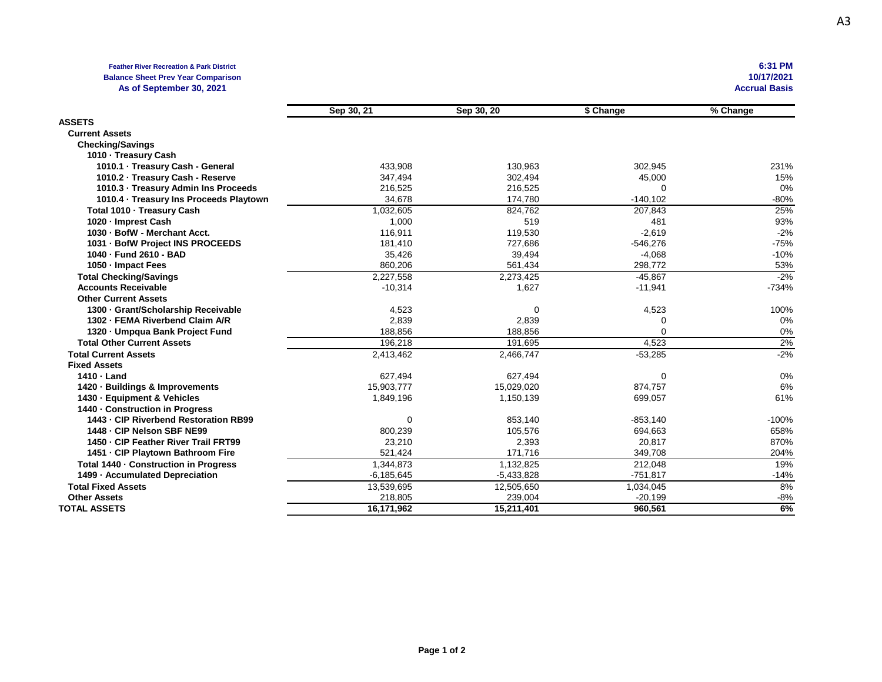## **Feather River Recreation & Park District 6:31 PM Balance Sheet Prev Year Comparison 10/17/2021** As of September 30, 2021

|                                         | Sep 30, 21     | Sep 30, 20   | \$ Change   | % Change |
|-----------------------------------------|----------------|--------------|-------------|----------|
| <b>ASSETS</b>                           |                |              |             |          |
| <b>Current Assets</b>                   |                |              |             |          |
| <b>Checking/Savings</b>                 |                |              |             |          |
| 1010 - Treasury Cash                    |                |              |             |          |
| 1010.1 · Treasury Cash - General        | 433,908        | 130,963      | 302,945     | 231%     |
| 1010.2 - Treasury Cash - Reserve        | 347,494        | 302,494      | 45,000      | 15%      |
| 1010.3 - Treasury Admin Ins Proceeds    | 216,525        | 216,525      | 0           | 0%       |
| 1010.4 · Treasury Ins Proceeds Playtown | 34,678         | 174,780      | $-140, 102$ | $-80%$   |
| Total 1010 - Treasury Cash              | 1,032,605      | 824.762      | 207,843     | 25%      |
| 1020 - Imprest Cash                     | 1,000          | 519          | 481         | 93%      |
| 1030 - BofW - Merchant Acct.            | 116,911        | 119,530      | $-2,619$    | $-2%$    |
| 1031 - BofW Project INS PROCEEDS        | 181,410        | 727,686      | $-546,276$  | $-75%$   |
| 1040 - Fund 2610 - BAD                  | 35,426         | 39,494       | $-4,068$    | $-10%$   |
| 1050 - Impact Fees                      | 860,206        | 561,434      | 298,772     | 53%      |
| <b>Total Checking/Savings</b>           | 2,227,558      | 2,273,425    | $-45,867$   | $-2%$    |
| <b>Accounts Receivable</b>              | $-10,314$      | 1,627        | $-11,941$   | $-734%$  |
| <b>Other Current Assets</b>             |                |              |             |          |
| 1300 - Grant/Scholarship Receivable     | 4,523          | 0            | 4,523       | 100%     |
| 1302 - FEMA Riverbend Claim A/R         | 2,839          | 2,839        | 0           | 0%       |
| 1320 · Umpqua Bank Project Fund         | 188,856        | 188,856      | $\Omega$    | 0%       |
| <b>Total Other Current Assets</b>       | 196.218        | 191.695      | 4.523       | 2%       |
| <b>Total Current Assets</b>             | 2,413,462      | 2,466,747    | $-53,285$   | $-2%$    |
| <b>Fixed Assets</b>                     |                |              |             |          |
| 1410 - Land                             | 627,494        | 627,494      | 0           | 0%       |
| 1420 - Buildings & Improvements         | 15,903,777     | 15,029,020   | 874,757     | 6%       |
| 1430 - Equipment & Vehicles             | 1,849,196      | 1,150,139    | 699,057     | 61%      |
| 1440 - Construction in Progress         |                |              |             |          |
| 1443 - CIP Riverbend Restoration RB99   | 0              | 853,140      | $-853,140$  | $-100%$  |
| 1448 - CIP Nelson SBF NE99              | 800,239        | 105,576      | 694,663     | 658%     |
| 1450 - CIP Feather River Trail FRT99    | 23,210         | 2,393        | 20,817      | 870%     |
| 1451 - CIP Playtown Bathroom Fire       | 521,424        | 171,716      | 349,708     | 204%     |
| Total 1440 - Construction in Progress   | 1,344,873      | 1,132,825    | 212,048     | 19%      |
| 1499 - Accumulated Depreciation         | $-6, 185, 645$ | $-5,433,828$ | $-751,817$  | $-14%$   |
| <b>Total Fixed Assets</b>               | 13,539,695     | 12,505,650   | 1,034,045   | 8%       |
| <b>Other Assets</b>                     | 218,805        | 239,004      | $-20,199$   | $-8%$    |
| <b>TOTAL ASSETS</b>                     | 16,171,962     | 15,211,401   | 960,561     | 6%       |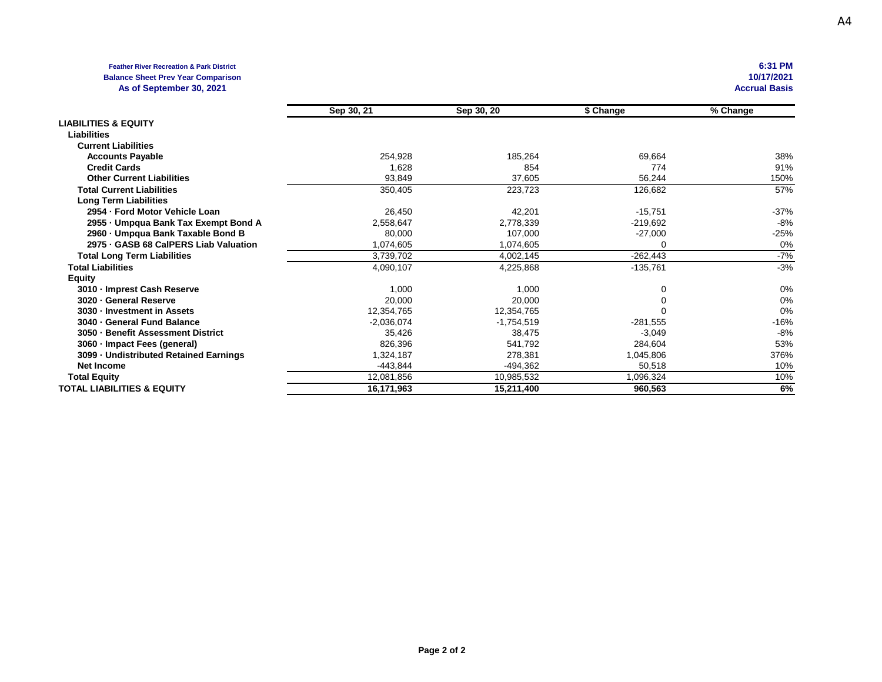## **Feather River Recreation & Park District 6:31 PM Balance Sheet Prev Year Comparison 10/17/2021 10/17/2021 10/17/2021 10/17/2021 10/17/2021 10/17/2021 10/17/2021 10/17/2021 10:11 10:12 10:12 10:12 10:12 10:12 10:12 10:12 10:12 10:12** As of September 30, 2021

| As or opprompted so, EVET              |              |              |            | Avvı ual Dasis |
|----------------------------------------|--------------|--------------|------------|----------------|
|                                        | Sep 30, 21   | Sep 30, 20   | \$ Change  | % Change       |
| <b>LIABILITIES &amp; EQUITY</b>        |              |              |            |                |
| <b>Liabilities</b>                     |              |              |            |                |
| <b>Current Liabilities</b>             |              |              |            |                |
| <b>Accounts Payable</b>                | 254,928      | 185,264      | 69,664     | 38%            |
| <b>Credit Cards</b>                    | 1,628        | 854          | 774        | 91%            |
| <b>Other Current Liabilities</b>       | 93,849       | 37,605       | 56,244     | 150%           |
| <b>Total Current Liabilities</b>       | 350,405      | 223,723      | 126,682    | 57%            |
| <b>Long Term Liabilities</b>           |              |              |            |                |
| 2954 - Ford Motor Vehicle Loan         | 26,450       | 42,201       | $-15,751$  | -37%           |
| 2955 - Umpqua Bank Tax Exempt Bond A   | 2,558,647    | 2,778,339    | $-219,692$ | -8%            |
| 2960 - Umpqua Bank Taxable Bond B      | 80,000       | 107,000      | -27,000    | -25%           |
| 2975 GASB 68 CalPERS Liab Valuation    | 1,074,605    | 1,074,605    |            | 0%             |
| <b>Total Long Term Liabilities</b>     | 3,739,702    | 4,002,145    | $-262,443$ | -7%            |
| <b>Total Liabilities</b>               | 4,090,107    | 4,225,868    | $-135,761$ | $-3%$          |
| <b>Equity</b>                          |              |              |            |                |
| 3010 - Imprest Cash Reserve            | 1,000        | 1,000        |            | 0%             |
| 3020 - General Reserve                 | 20,000       | 20,000       |            | 0%             |
| 3030 - Investment in Assets            | 12,354,765   | 12,354,765   |            | 0%             |
| 3040 - General Fund Balance            | $-2,036,074$ | $-1,754,519$ | $-281,555$ | -16%           |
| 3050 - Benefit Assessment District     | 35,426       | 38,475       | $-3,049$   | -8%            |
| 3060 · Impact Fees (general)           | 826,396      | 541,792      | 284,604    | 53%            |
| 3099 - Undistributed Retained Earnings | 1,324,187    | 278,381      | 1,045,806  | 376%           |

**Net Income** -443,844 -494,362 50,518 10% **Total Equity** 12,081,856 10,985,532 1,096,324 10% **TOTAL LIABILITIES & EQUITY 16,171,963 15,211,400 960,563 6%**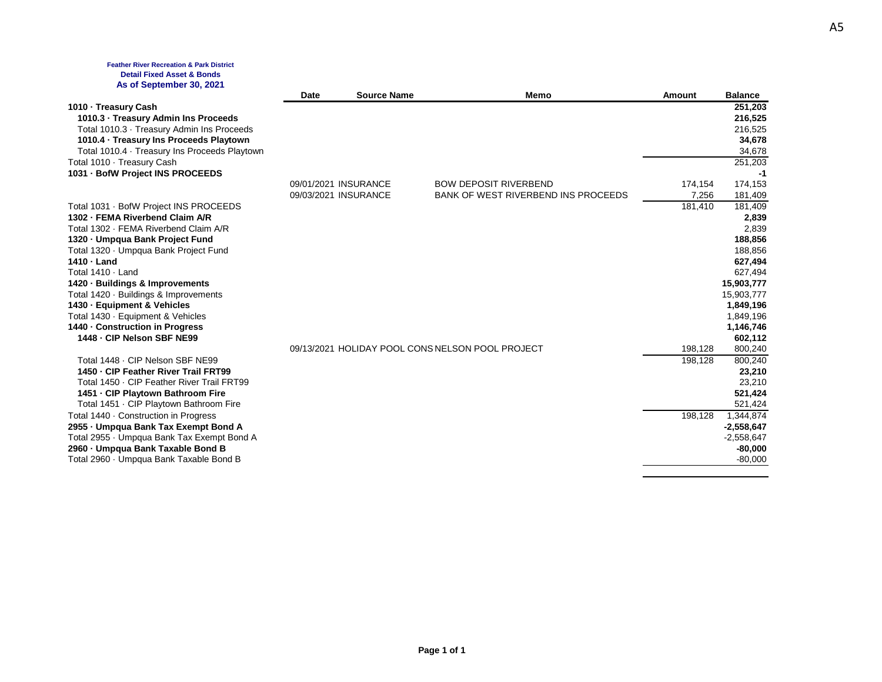### **Feather River Recreation & Park District Detail Fixed Asset & Bonds As of September 30, 2021**

|                                                                                | Date | <b>Source Name</b>   | Memo                                                                       | <b>Amount</b> | <b>Balance</b>       |
|--------------------------------------------------------------------------------|------|----------------------|----------------------------------------------------------------------------|---------------|----------------------|
| 1010 - Treasury Cash                                                           |      |                      |                                                                            |               | 251,203              |
| 1010.3 · Treasury Admin Ins Proceeds                                           |      |                      |                                                                            |               | 216,525              |
| Total 1010.3 Treasury Admin Ins Proceeds                                       |      |                      |                                                                            |               | 216,525              |
| 1010.4 · Treasury Ins Proceeds Playtown                                        |      |                      |                                                                            |               | 34,678               |
| Total 1010.4 Treasury Ins Proceeds Playtown                                    |      |                      |                                                                            |               | 34,678               |
| Total 1010 · Treasury Cash                                                     |      |                      |                                                                            |               | 251,203              |
| 1031 · BofW Project INS PROCEEDS                                               |      |                      |                                                                            |               | -1                   |
|                                                                                |      | 09/01/2021 INSURANCE | <b>BOW DEPOSIT RIVERBEND</b><br><b>BANK OF WEST RIVERBEND INS PROCEEDS</b> | 174,154       | 174,153              |
|                                                                                |      | 09/03/2021 INSURANCE |                                                                            | 7,256         | 181,409              |
| Total 1031 · BofW Project INS PROCEEDS<br>1302 - FEMA Riverbend Claim A/R      |      |                      |                                                                            | 181,410       | 181,409              |
| Total 1302 - FEMA Riverbend Claim A/R                                          |      |                      |                                                                            |               | 2,839<br>2,839       |
| 1320 - Umpqua Bank Project Fund                                                |      |                      |                                                                            |               | 188,856              |
| Total 1320 · Umpqua Bank Project Fund                                          |      |                      |                                                                            |               | 188,856              |
| 1410 - Land                                                                    |      |                      |                                                                            |               | 627,494              |
| Total 1410 · Land                                                              |      |                      |                                                                            |               | 627,494              |
| 1420 · Buildings & Improvements                                                |      |                      |                                                                            |               | 15,903,777           |
| Total 1420 · Buildings & Improvements                                          |      |                      |                                                                            |               | 15,903,777           |
| 1430 - Equipment & Vehicles                                                    |      |                      |                                                                            |               | 1,849,196            |
| Total 1430 · Equipment & Vehicles                                              |      |                      |                                                                            |               | 1,849,196            |
| 1440 - Construction in Progress                                                |      |                      |                                                                            |               | 1,146,746            |
| 1448 - CIP Nelson SBF NE99                                                     |      |                      |                                                                            |               | 602,112              |
|                                                                                |      |                      | 09/13/2021 HOLIDAY POOL CONS NELSON POOL PROJECT                           | 198,128       | 800,240              |
| Total 1448 - CIP Nelson SBF NE99                                               |      |                      |                                                                            | 198,128       | 800,240              |
| 1450 - CIP Feather River Trail FRT99                                           |      |                      |                                                                            |               | 23,210               |
| Total 1450 · CIP Feather River Trail FRT99                                     |      |                      |                                                                            |               | 23,210               |
| 1451 - CIP Playtown Bathroom Fire                                              |      |                      |                                                                            |               | 521,424              |
| Total 1451 CIP Playtown Bathroom Fire<br>Total 1440 · Construction in Progress |      |                      |                                                                            |               | 521,424<br>1,344,874 |
| 2955 - Umpqua Bank Tax Exempt Bond A                                           |      |                      |                                                                            | 198,128       | $-2,558,647$         |
| Total 2955 · Umpqua Bank Tax Exempt Bond A                                     |      |                      |                                                                            |               | $-2,558,647$         |
| 2960 - Umpqua Bank Taxable Bond B                                              |      |                      |                                                                            |               | $-80,000$            |
| Total 2960 · Umpqua Bank Taxable Bond B                                        |      |                      |                                                                            |               | $-80.000$            |
|                                                                                |      |                      |                                                                            |               |                      |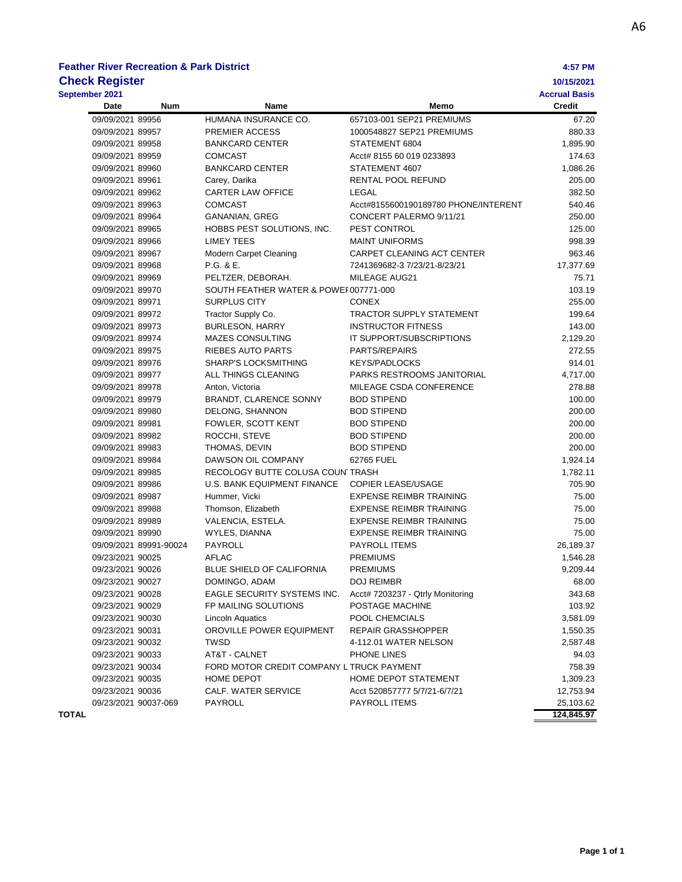# **Feather River Recreation & Park District 4:57 PM**

| <b>Check Register</b> |                        |                                           |                                      | 10/15/2021           |
|-----------------------|------------------------|-------------------------------------------|--------------------------------------|----------------------|
| September 2021        |                        |                                           |                                      | <b>Accrual Basis</b> |
| Date                  | <b>Num</b>             | Name                                      | Memo                                 | <b>Credit</b>        |
| 09/09/2021 89956      |                        | HUMANA INSURANCE CO.                      | 657103-001 SEP21 PREMIUMS            | 67.20                |
| 09/09/2021 89957      |                        | PREMIER ACCESS                            | 1000548827 SEP21 PREMIUMS            | 880.33               |
| 09/09/2021 89958      |                        | <b>BANKCARD CENTER</b>                    | STATEMENT 6804                       | 1,895.90             |
| 09/09/2021 89959      |                        | <b>COMCAST</b>                            | Acct# 8155 60 019 0233893            | 174.63               |
| 09/09/2021 89960      |                        | <b>BANKCARD CENTER</b>                    | STATEMENT 4607                       | 1,086.26             |
| 09/09/2021 89961      |                        | Carey, Darika                             | RENTAL POOL REFUND                   | 205.00               |
| 09/09/2021 89962      |                        | <b>CARTER LAW OFFICE</b>                  | LEGAL                                | 382.50               |
| 09/09/2021 89963      |                        | <b>COMCAST</b>                            | Acct#8155600190189780 PHONE/INTERENT | 540.46               |
| 09/09/2021 89964      |                        | <b>GANANIAN, GREG</b>                     | CONCERT PALERMO 9/11/21              | 250.00               |
| 09/09/2021 89965      |                        | HOBBS PEST SOLUTIONS, INC.                | PEST CONTROL                         | 125.00               |
| 09/09/2021 89966      |                        | <b>LIMEY TEES</b>                         | <b>MAINT UNIFORMS</b>                | 998.39               |
| 09/09/2021 89967      |                        | Modern Carpet Cleaning                    | CARPET CLEANING ACT CENTER           | 963.46               |
| 09/09/2021 89968      |                        | P.G. & E.                                 | 7241369682-3 7/23/21-8/23/21         | 17,377.69            |
| 09/09/2021 89969      |                        | PELTZER, DEBORAH.                         | MILEAGE AUG21                        | 75.71                |
| 09/09/2021 89970      |                        | SOUTH FEATHER WATER & POWEI 007771-000    |                                      | 103.19               |
| 09/09/2021 89971      |                        | <b>SURPLUS CITY</b>                       | <b>CONEX</b>                         | 255.00               |
| 09/09/2021 89972      |                        | Tractor Supply Co.                        | <b>TRACTOR SUPPLY STATEMENT</b>      | 199.64               |
| 09/09/2021 89973      |                        | <b>BURLESON, HARRY</b>                    | <b>INSTRUCTOR FITNESS</b>            | 143.00               |
| 09/09/2021 89974      |                        | <b>MAZES CONSULTING</b>                   | IT SUPPORT/SUBSCRIPTIONS             | 2,129.20             |
| 09/09/2021 89975      |                        | RIEBES AUTO PARTS                         | PARTS/REPAIRS                        | 272.55               |
| 09/09/2021 89976      |                        | SHARP'S LOCKSMITHING                      | <b>KEYS/PADLOCKS</b>                 | 914.01               |
| 09/09/2021 89977      |                        | ALL THINGS CLEANING                       | PARKS RESTROOMS JANITORIAL           | 4,717.00             |
| 09/09/2021 89978      |                        | Anton, Victoria                           | MILEAGE CSDA CONFERENCE              | 278.88               |
| 09/09/2021 89979      |                        | BRANDT, CLARENCE SONNY                    | <b>BOD STIPEND</b>                   | 100.00               |
| 09/09/2021 89980      |                        | DELONG, SHANNON                           | <b>BOD STIPEND</b>                   | 200.00               |
| 09/09/2021 89981      |                        | FOWLER, SCOTT KENT                        | <b>BOD STIPEND</b>                   | 200.00               |
| 09/09/2021 89982      |                        | ROCCHI, STEVE                             | <b>BOD STIPEND</b>                   | 200.00               |
| 09/09/2021 89983      |                        | THOMAS, DEVIN                             | <b>BOD STIPEND</b>                   | 200.00               |
| 09/09/2021 89984      |                        | DAWSON OIL COMPANY                        | 62765 FUEL                           | 1,924.14             |
| 09/09/2021 89985      |                        | RECOLOGY BUTTE COLUSA COUN TRASH          |                                      | 1,782.11             |
| 09/09/2021 89986      |                        | U.S. BANK EQUIPMENT FINANCE               | <b>COPIER LEASE/USAGE</b>            | 705.90               |
| 09/09/2021 89987      |                        | Hummer, Vicki                             | <b>EXPENSE REIMBR TRAINING</b>       | 75.00                |
| 09/09/2021 89988      |                        | Thomson, Elizabeth                        | <b>EXPENSE REIMBR TRAINING</b>       | 75.00                |
| 09/09/2021 89989      |                        | VALENCIA, ESTELA.                         | <b>EXPENSE REIMBR TRAINING</b>       | 75.00                |
| 09/09/2021 89990      |                        | WYLES, DIANNA                             | <b>EXPENSE REIMBR TRAINING</b>       | 75.00                |
|                       | 09/09/2021 89991-90024 | PAYROLL                                   | PAYROLL ITEMS                        | 26,189.37            |
| 09/23/2021 90025      |                        | <b>AFLAC</b>                              | <b>PREMIUMS</b>                      | 1,546.28             |
| 09/23/2021 90026      |                        | <b>BLUE SHIELD OF CALIFORNIA</b>          | <b>PREMIUMS</b>                      | 9,209.44             |
| 09/23/2021 90027      |                        | DOMINGO, ADAM                             | DOJ REIMBR                           | 68.00                |
| 09/23/2021 90028      |                        | EAGLE SECURITY SYSTEMS INC.               | Acct# 7203237 - Qtrly Monitoring     | 343.68               |
| 09/23/2021 90029      |                        | FP MAILING SOLUTIONS                      | POSTAGE MACHINE                      | 103.92               |
| 09/23/2021 90030      |                        | Lincoln Aquatics                          | POOL CHEMCIALS                       | 3,581.09             |
| 09/23/2021 90031      |                        | OROVILLE POWER EQUIPMENT                  | REPAIR GRASSHOPPER                   | 1,550.35             |
| 09/23/2021 90032      |                        | TWSD                                      | 4-112.01 WATER NELSON                | 2,587.48             |
| 09/23/2021 90033      |                        | AT&T - CALNET                             | PHONE LINES                          | 94.03                |
| 09/23/2021 90034      |                        | FORD MOTOR CREDIT COMPANY L TRUCK PAYMENT |                                      | 758.39               |
| 09/23/2021 90035      |                        | HOME DEPOT                                | HOME DEPOT STATEMENT                 | 1,309.23             |
| 09/23/2021 90036      |                        | <b>CALF. WATER SERVICE</b>                | Acct 520857777 5/7/21-6/7/21         | 12,753.94            |
|                       | 09/23/2021 90037-069   | PAYROLL                                   | PAYROLL ITEMS                        | 25,103.62            |

**TOTAL 124,845.97**